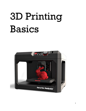# 3D Printing Basics

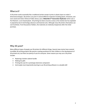## What is it?

A 3D printer works essentially like a traditional printer except it prints in plastic layers to make 3 dimensional designs. 3D printers can print in several different materials including plastic, limestone, and even wood and metal. Elmhurst Public Library uses a **MakerBot 5th Generation Replicator** which uses a PLA filament: a corn-based plastic. 3D printing has been around as early as the nineties but has exploded in popularity due to technology advances and lowered costs. Although many 3D printers themselves can cost hundreds, if not thousands of dollars, the materials are relatively inexpensive after the initial purchase.

# Why 3D print?

Many different types of people use 3D printers for different things. Several news stories have covered incredible 3D printing projects like parents creating prosthesis for their children or the development of 3D printed cars, but there are plenty of uses for everyone. Some reasons you may use a 3D printer include:

- Replacing a broken cabinet handle
- Making fun gifts
- Printing the case for a prototype electronic component
- And maybe most importantly learning to use 3D printing software is a valuable skill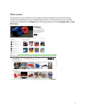# Ways to print:

The easiest way to start printing is to use a design created and uploaded on the Internet. Several websites have large libraries of user-uploaded designs which can be printed freely. Later we will be introducing the MakerBot site **Thingiverse** but other high quality sites include **Autodesk 123D**, and **My Mini Factory**.

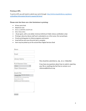## Printing at EPL

To print at EPL you will need to submit your print through: [http://elmhurstpubliclibrary.org/about](http://elmhurstpubliclibrary.org/about-us/building-information/3d-print-request/3d-form/)[us/building-information/3d-print-request/3d-form/](http://elmhurstpubliclibrary.org/about-us/building-information/3d-print-request/3d-form/)

## Please note that there are a few limitations to printing:

- 8-hour print limit
- Maximum size:
- 25.2 L x 19.9 W x 15.0 H cm
- 9.9 x 7.8 x 5.9 in
- .10 per gram, with a one dollar minimum (Elmhurst Public Library cardholders only)
- Printing is done by Library staff and is attended to on a first come, first served basis
- Priority printing given to Library programs and events
- Email will be sent once the print job is complete
- Item may be picked-up at the second floor Digital Services Desk

| Name:                                         |                |
|-----------------------------------------------|----------------|
| Email:                                        |                |
| Library Card #:                               |                |
| PLA Filament Color:                           |                |
| <b>White</b>                                  |                |
| Object Dimensions:                            |                |
| Attach File:                                  |                |
| Choose File                                   | No file chosen |
| Acceptable file types: stl, obj,maker, thing. |                |
| Maximum file sine: 25mb.                      |                |
| Additional Information:                       |                |

Files should be submitted as .obj, .stl, or .MakerBot

If you have any questions about how to submit, exporting your file or anything else feel free to contact us at reference@elmhurst.org

Submit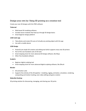# Design your own by: Using 3D printing as a creation tool

## Create your own 3D designs with this FREE software

## **Tinkercad**

- Web-based 3D modeling software
- Includes lesson modules that lead you through 3D design basics
- Great beginner design platform

## **123D Catch app**

- Take photos and create 3D scans of virtually any existing object with this app
- Use with a mobile device

#### **123D Design**

- Powerful yet simple 3D creation and editing tool which supports many new 3D printers
- Part of the vast Autodesk suite of 3D tools
- Great stepping stone for more advanced 3D design software, like Maya
- Other free Autodesk software

#### **Sculptris**

- **•** Beginner digital sculpting tool
- Great stepping stone for more advanced digital sculpting software, like ZBrush

#### **Blender**

- 3D animation suite
- Supports the entirety of the 3D pipeline—modeling, rigging, animation, simulation, rendering, compositing and motion tracking, even video editing and game creation

#### **MakerBot Desktop**

3D printing solution for discovering, managing, and sharing your 3D prints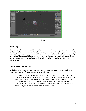



## Scanning

The Elmhurst Public Library owns a **MakerBot Replicator** which will scan objects and create a 3d model of them. In addition there are several apps for smartphones such as **123D Catch**, which allow you to take a series of photos and convert them into a 3d model. While the Replicator will produce a better result, the quality of the generated 3d object will be nowhere near the quality of the original, as small details are hard to generate, and scanned objects will most likely need to be brought into software for additional work.

# 3D Printing Limitations

While 3D printing is extremely cool and useful, there are several limitations on what is possible right now. A few warnings before starting your project may include:

- 3D printing takes time! Printing a larger or more detailed design may take several hours of printing to complete and using some of the 3D printing creation software can be difficult at first.
- Size of prints is limited to the size of the MakerBot's work area and objects that are too large for the base will need to be cut into pieces and prints separately, and then combined after.
- Overly complicated designs may print incorrectly or with minor to major errors in the layers.
- At this point you can only 3D print in one color at a time per print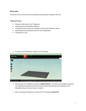## Exercise:

During this class we will practice downloading and preparing a design to 3D print.

## **Today we'll cover:**

- Pulling a model down from Thingiverse
- Importing into the MakerBot software
- Preparing the item to print by rotating, moving, and resizing the object
- Exporting and previewing the print for any complications
- Printing from a usb



1. First open up the Makerbot software on the desktop.

- 2. Next we'll go into Thingiverse using the **'Explore Button."** This opens the Thingiverse website. The Thingiverse website can also be accessed using a web browser but opening it in the MakerBot software makes it easier to import.
- 3. Next, click explore Thingiverse and search for the design '**Faceted Cat.'**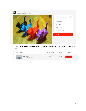|  | $\overline{\mathbf{z}}$ | <b>V</b> Like     | 101            |
|--|-------------------------|-------------------|----------------|
|  |                         | <b>O</b> Collect  | 140            |
|  |                         | Comment           | 1              |
|  |                         | ◎ Watch           | $\overline{O}$ |
|  |                         | & Copy Link       |                |
|  |                         | 区 View in Browser |                |
|  |                         | Prepare           |                |
|  |                         |                   |                |

4. Once you find **Faceted cat,** click **'prepare.'** It should automatically be sent to the MakerBot build plate.

| File Name |                                      | Downloads | Size  | Actions |
|-----------|--------------------------------------|-----------|-------|---------|
|           | gato_3.stl<br>Last updated: 02-15-15 | 1192      | 507kb | Prepare |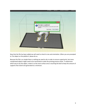

Now that the file has been added we will need to check its size and orientation. When you are prompted to 'Put object on the platform' please do so.

Because this file is so simple there is nothing we need to do in order to ensure a good print, but more complicated objects might need to be reoriented to make the printing process easier. To determine which way to lay the object, rotate it so the most surface area is touching the bed to keep the amount of supports that need to be generated to a minimum.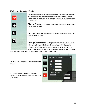## **Makerbot Desktop Tools**



MakerBot offers a few tools to reposition, resize, and rotate files imported into the software. Double-clicking on any of the icons will bring the full options for each. In order to interact with the object, you must first select it by clicking on it.

Change Position: Allows you to move the object along the x, y, and z axes on the build plate.

Change Rotation: Allows you to rotate and object along the x, y, and z axes on the build plate.

Change Dimensions: Scaling adjusts the size of a print. When a print comes in from Thingiverse, it comes in the size the author intended, but clicking on the resize button can make it smaller or larger. In the advanced menus, you can also determine size by metric

measurements in millimeters which is extremely helpful sometimes.

For this print, change the x dimension size to 25 mm.

Once we have determined if our file is the correct size and orientation, we'll then check the print settings.